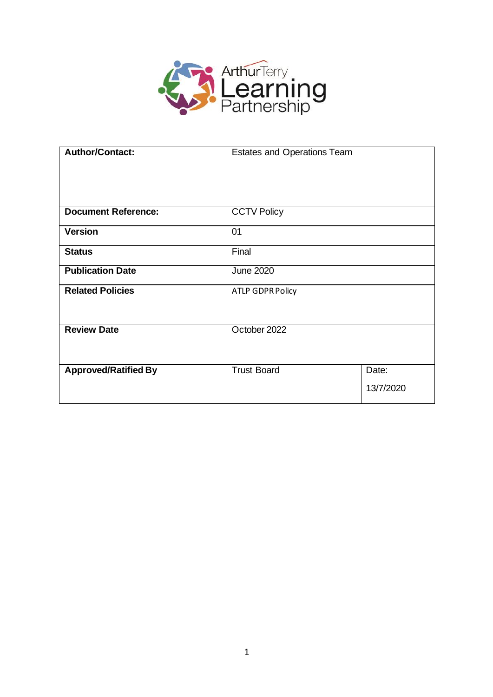

| <b>Author/Contact:</b>      | <b>Estates and Operations Team</b> |                    |
|-----------------------------|------------------------------------|--------------------|
| <b>Document Reference:</b>  | <b>CCTV Policy</b>                 |                    |
| <b>Version</b>              | 01                                 |                    |
| <b>Status</b>               | Final                              |                    |
| <b>Publication Date</b>     | <b>June 2020</b>                   |                    |
| <b>Related Policies</b>     | <b>ATLP GDPR Policy</b>            |                    |
| <b>Review Date</b>          | October 2022                       |                    |
| <b>Approved/Ratified By</b> | <b>Trust Board</b>                 | Date:<br>13/7/2020 |
|                             |                                    |                    |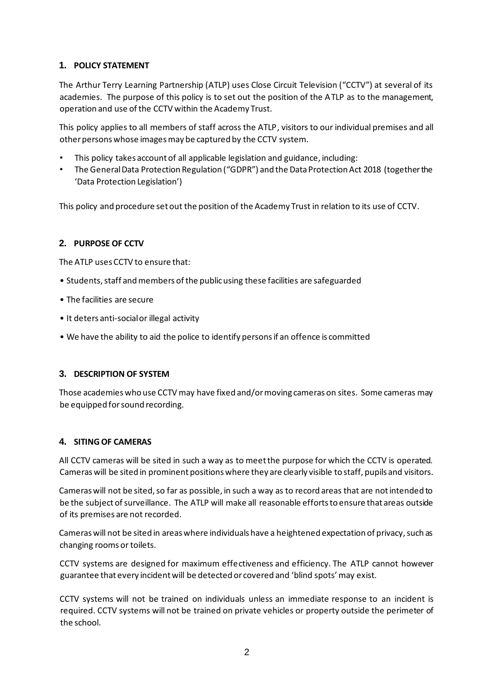# **1. POLICY STATEMENT**

The Arthur Terry Learning Partnership (ATLP) uses Close Circuit Television ("CCTV") at several of its academies. The purpose of this policy is to set out the position of the ATLP as to the management, operation and use of the CCTV within the Academy Trust.

This policy applies to all members of staff across the ATLP, visitors to our individual premises and all other persons whose images may be captured by the CCTV system.

- This policy takes account of all applicable legislation and guidance, including:
- The General Data Protection Regulation ("GDPR") and the Data Protection Act 2018 (together the 'Data Protection Legislation')

This policy and procedure set out the position of the Academy Trust in relation to its use of CCTV.

# **2. PURPOSE OF CCTV**

The ATLP uses CCTV to ensure that:

- Students, staff and members of the public using these facilities are safeguarded
- The facilities are secure
- It deters anti-social or illegal activity
- We have the ability to aid the police to identify persons if an offence is committed

## **3. DESCRIPTION OF SYSTEM**

Those academies who use CCTV may have fixed and/or moving cameras on sites. Some cameras may be equipped for sound recording.

## **4. SITING OF CAMERAS**

All CCTV cameras will be sited in such a way as to meet the purpose for which the CCTV is operated. Cameras will be sited in prominent positions where they are clearly visible to staff, pupils and visitors.

Cameras will not be sited, so far as possible, in such a way as to record areas that are not intended to be the subject of surveillance. The ATLP will make all reasonable efforts to ensure that areas outside of its premises are not recorded.

Cameras will not be sited in areas where individuals have a heightened expectation of privacy, such as changing rooms or toilets.

CCTV systems are designed for maximum effectiveness and efficiency. The ATLP cannot however guarantee that every incident will be detected or covered and 'blind spots' may exist.

CCTV systems will not be trained on individuals unless an immediate response to an incident is required. CCTV systems will not be trained on private vehicles or property outside the perimeter of the school.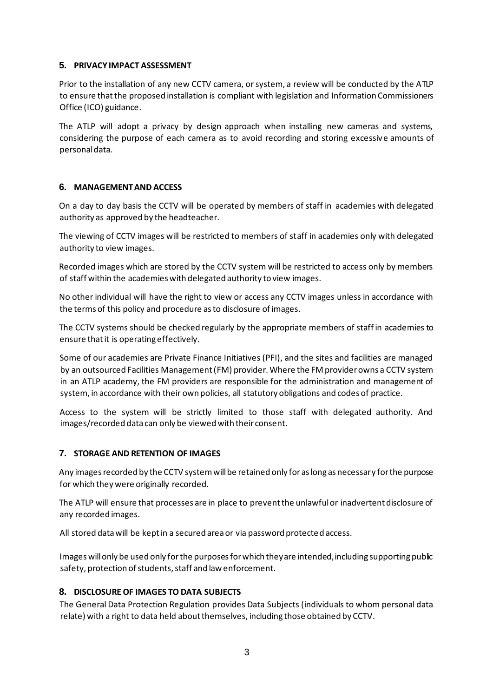## **5. PRIVACY IMPACT ASSESSMENT**

Prior to the installation of any new CCTV camera, or system, a review will be conducted by the ATLP to ensure that the proposed installation is compliant with legislation and Information Commissioners Office (ICO) guidance.

The ATLP will adopt a privacy by design approach when installing new cameras and systems, considering the purpose of each camera as to avoid recording and storing excessive amounts of personal data.

#### **6. MANAGEMENT AND ACCESS**

On a day to day basis the CCTV will be operated by members of staff in academies with delegated authority as approved by the headteacher.

The viewing of CCTV images will be restricted to members of staff in academies only with delegated authority to view images.

Recorded images which are stored by the CCTV system will be restricted to access only by members of staff within the academies with delegated authority to view images.

No other individual will have the right to view or access any CCTV images unless in accordance with the terms of this policy and procedure as to disclosure of images.

The CCTV systems should be checked regularly by the appropriate members of staff in academies to ensure that it is operating effectively.

Some of our academies are Private Finance Initiatives (PFI), and the sites and facilities are managed by an outsourced Facilities Management (FM) provider. Where the FM provider owns a CCTV system in an ATLP academy, the FM providers are responsible for the administration and management of system, in accordance with their own policies, all statutory obligations and codes of practice.

Access to the system will be strictly limited to those staff with delegated authority. And images/recorded data can only be viewed with their consent.

## **7. STORAGE AND RETENTION OF IMAGES**

Any images recorded by the CCTV system will be retained only for as long as necessary for the purpose for which they were originally recorded.

The ATLP will ensure that processes are in place to prevent the unlawful or inadvertent disclosure of any recorded images.

All stored data will be kept in a secured area or via password protected access.

Images will only be used only for the purposes for which they are intended, including supporting public safety, protection of students, staff and law enforcement.

## **8. DISCLOSURE OF IMAGES TO DATA SUBJECTS**

The General Data Protection Regulation provides Data Subjects (individuals to whom personal data relate) with a right to data held about themselves, including those obtained by CCTV.